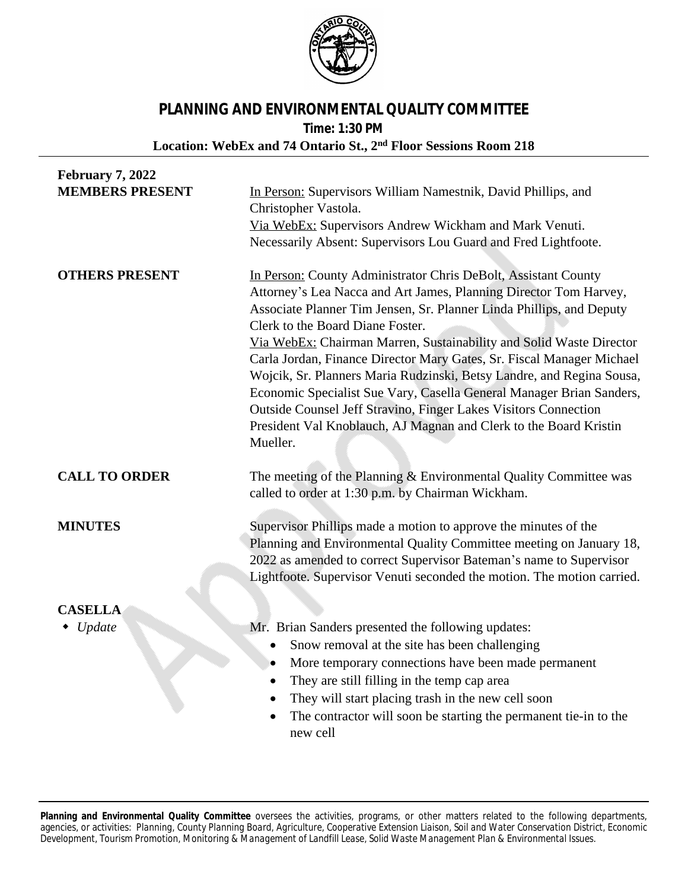

## **PLANNING AND ENVIRONMENTAL QUALITY COMMITTEE**

**Time: 1:30 PM**

**Location: WebEx and 74 Ontario St., 2nd Floor Sessions Room 218**

| <b>February 7, 2022</b> |                                                                                                                                                                                                                                                                                                                                                                                                                                                                                                                                                                                                                                                                                                      |
|-------------------------|------------------------------------------------------------------------------------------------------------------------------------------------------------------------------------------------------------------------------------------------------------------------------------------------------------------------------------------------------------------------------------------------------------------------------------------------------------------------------------------------------------------------------------------------------------------------------------------------------------------------------------------------------------------------------------------------------|
| <b>MEMBERS PRESENT</b>  | In Person: Supervisors William Namestnik, David Phillips, and<br>Christopher Vastola.                                                                                                                                                                                                                                                                                                                                                                                                                                                                                                                                                                                                                |
|                         | Via WebEx: Supervisors Andrew Wickham and Mark Venuti.                                                                                                                                                                                                                                                                                                                                                                                                                                                                                                                                                                                                                                               |
|                         | Necessarily Absent: Supervisors Lou Guard and Fred Lightfoote.                                                                                                                                                                                                                                                                                                                                                                                                                                                                                                                                                                                                                                       |
| <b>OTHERS PRESENT</b>   | In Person: County Administrator Chris DeBolt, Assistant County<br>Attorney's Lea Nacca and Art James, Planning Director Tom Harvey,<br>Associate Planner Tim Jensen, Sr. Planner Linda Phillips, and Deputy<br>Clerk to the Board Diane Foster.<br>Via WebEx: Chairman Marren, Sustainability and Solid Waste Director<br>Carla Jordan, Finance Director Mary Gates, Sr. Fiscal Manager Michael<br>Wojcik, Sr. Planners Maria Rudzinski, Betsy Landre, and Regina Sousa,<br>Economic Specialist Sue Vary, Casella General Manager Brian Sanders,<br>Outside Counsel Jeff Stravino, Finger Lakes Visitors Connection<br>President Val Knoblauch, AJ Magnan and Clerk to the Board Kristin<br>Mueller. |
| <b>CALL TO ORDER</b>    | The meeting of the Planning & Environmental Quality Committee was<br>called to order at 1:30 p.m. by Chairman Wickham.                                                                                                                                                                                                                                                                                                                                                                                                                                                                                                                                                                               |
| <b>MINUTES</b>          | Supervisor Phillips made a motion to approve the minutes of the<br>Planning and Environmental Quality Committee meeting on January 18,<br>2022 as amended to correct Supervisor Bateman's name to Supervisor<br>Lightfoote. Supervisor Venuti seconded the motion. The motion carried.                                                                                                                                                                                                                                                                                                                                                                                                               |
| <b>CASELLA</b>          |                                                                                                                                                                                                                                                                                                                                                                                                                                                                                                                                                                                                                                                                                                      |
| Update                  | Mr. Brian Sanders presented the following updates:                                                                                                                                                                                                                                                                                                                                                                                                                                                                                                                                                                                                                                                   |
|                         | Snow removal at the site has been challenging<br>$\bullet$                                                                                                                                                                                                                                                                                                                                                                                                                                                                                                                                                                                                                                           |
|                         | More temporary connections have been made permanent<br>٠                                                                                                                                                                                                                                                                                                                                                                                                                                                                                                                                                                                                                                             |
|                         | They are still filling in the temp cap area<br>$\bullet$                                                                                                                                                                                                                                                                                                                                                                                                                                                                                                                                                                                                                                             |
|                         | They will start placing trash in the new cell soon<br>$\bullet$                                                                                                                                                                                                                                                                                                                                                                                                                                                                                                                                                                                                                                      |
|                         | The contractor will soon be starting the permanent tie-in to the<br>new cell                                                                                                                                                                                                                                                                                                                                                                                                                                                                                                                                                                                                                         |

**Planning and Environmental Quality Committee** oversees the activities, programs, or other matters related to the following departments, agencies, or activities: Planning, County Planning Board, Agriculture, Cooperative Extension Liaison, Soil and Water Conservation District, Economic *Development, Tourism Promotion, Monitoring & Management of Landfill Lease, Solid Waste Management Plan & Environmental Issues.*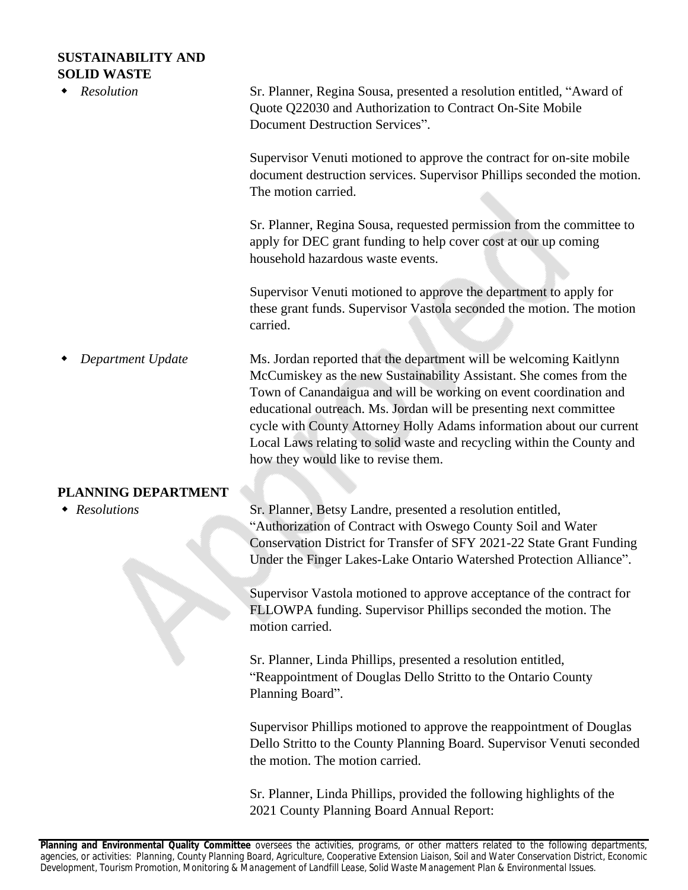## **SUSTAINABILITY AND SOLID WASTE**

| <b>SOLID WASTE</b><br><b>Resolution</b> | Sr. Planner, Regina Sousa, presented a resolution entitled, "Award of<br>Quote Q22030 and Authorization to Contract On-Site Mobile<br>Document Destruction Services".                                                                                                                                                                                                                                                                                                        |
|-----------------------------------------|------------------------------------------------------------------------------------------------------------------------------------------------------------------------------------------------------------------------------------------------------------------------------------------------------------------------------------------------------------------------------------------------------------------------------------------------------------------------------|
|                                         | Supervisor Venuti motioned to approve the contract for on-site mobile<br>document destruction services. Supervisor Phillips seconded the motion.<br>The motion carried.                                                                                                                                                                                                                                                                                                      |
|                                         | Sr. Planner, Regina Sousa, requested permission from the committee to<br>apply for DEC grant funding to help cover cost at our up coming<br>household hazardous waste events.                                                                                                                                                                                                                                                                                                |
|                                         | Supervisor Venuti motioned to approve the department to apply for<br>these grant funds. Supervisor Vastola seconded the motion. The motion<br>carried.                                                                                                                                                                                                                                                                                                                       |
| Department Update                       | Ms. Jordan reported that the department will be welcoming Kaitlynn<br>McCumiskey as the new Sustainability Assistant. She comes from the<br>Town of Canandaigua and will be working on event coordination and<br>educational outreach. Ms. Jordan will be presenting next committee<br>cycle with County Attorney Holly Adams information about our current<br>Local Laws relating to solid waste and recycling within the County and<br>how they would like to revise them. |
| PLANNING DEPARTMENT                     |                                                                                                                                                                                                                                                                                                                                                                                                                                                                              |
| • Resolutions                           | Sr. Planner, Betsy Landre, presented a resolution entitled,<br>"Authorization of Contract with Oswego County Soil and Water<br>Conservation District for Transfer of SFY 2021-22 State Grant Funding<br>Under the Finger Lakes-Lake Ontario Watershed Protection Alliance".                                                                                                                                                                                                  |
|                                         | Supervisor Vastola motioned to approve acceptance of the contract for<br>FLLOWPA funding. Supervisor Phillips seconded the motion. The<br>motion carried.                                                                                                                                                                                                                                                                                                                    |
|                                         | Sr. Planner, Linda Phillips, presented a resolution entitled,<br>"Reappointment of Douglas Dello Stritto to the Ontario County<br>Planning Board".                                                                                                                                                                                                                                                                                                                           |
|                                         | Supervisor Phillips motioned to approve the reappointment of Douglas<br>Dello Stritto to the County Planning Board. Supervisor Venuti seconded<br>the motion. The motion carried.                                                                                                                                                                                                                                                                                            |

Sr. Planner, Linda Phillips, provided the following highlights of the 2021 County Planning Board Annual Report: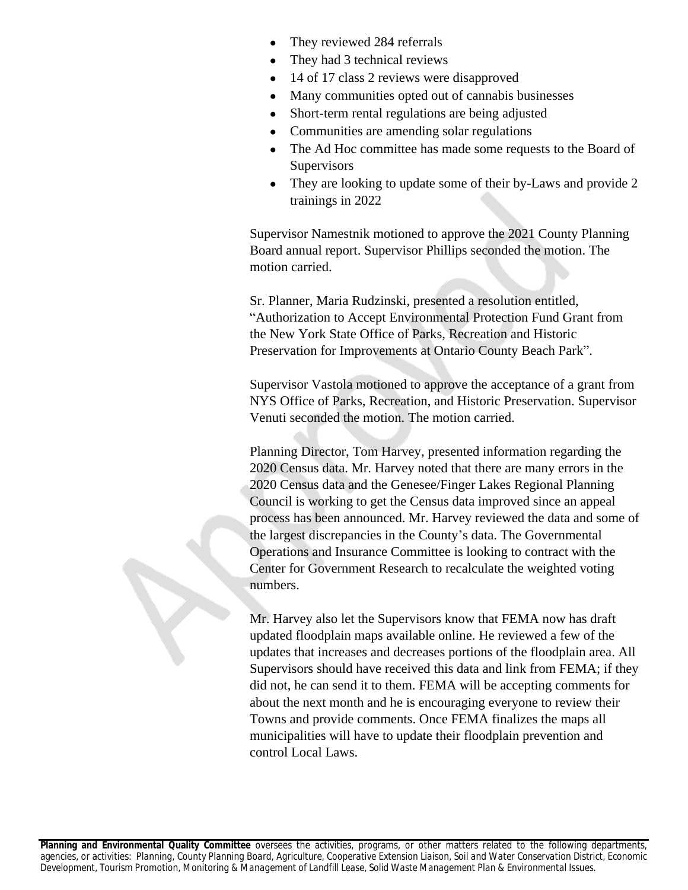- They reviewed 284 referrals
- They had 3 technical reviews
- 14 of 17 class 2 reviews were disapproved
- Many communities opted out of cannabis businesses
- Short-term rental regulations are being adjusted
- Communities are amending solar regulations
- The Ad Hoc committee has made some requests to the Board of **Supervisors**
- They are looking to update some of their by-Laws and provide 2 trainings in 2022

Supervisor Namestnik motioned to approve the 2021 County Planning Board annual report. Supervisor Phillips seconded the motion. The motion carried.

Sr. Planner, Maria Rudzinski, presented a resolution entitled, "Authorization to Accept Environmental Protection Fund Grant from the New York State Office of Parks, Recreation and Historic Preservation for Improvements at Ontario County Beach Park".

Supervisor Vastola motioned to approve the acceptance of a grant from NYS Office of Parks, Recreation, and Historic Preservation. Supervisor Venuti seconded the motion. The motion carried.

Planning Director, Tom Harvey, presented information regarding the 2020 Census data. Mr. Harvey noted that there are many errors in the 2020 Census data and the Genesee/Finger Lakes Regional Planning Council is working to get the Census data improved since an appeal process has been announced. Mr. Harvey reviewed the data and some of the largest discrepancies in the County's data. The Governmental Operations and Insurance Committee is looking to contract with the Center for Government Research to recalculate the weighted voting numbers.

Mr. Harvey also let the Supervisors know that FEMA now has draft updated floodplain maps available online. He reviewed a few of the updates that increases and decreases portions of the floodplain area. All Supervisors should have received this data and link from FEMA; if they did not, he can send it to them. FEMA will be accepting comments for about the next month and he is encouraging everyone to review their Towns and provide comments. Once FEMA finalizes the maps all municipalities will have to update their floodplain prevention and control Local Laws.